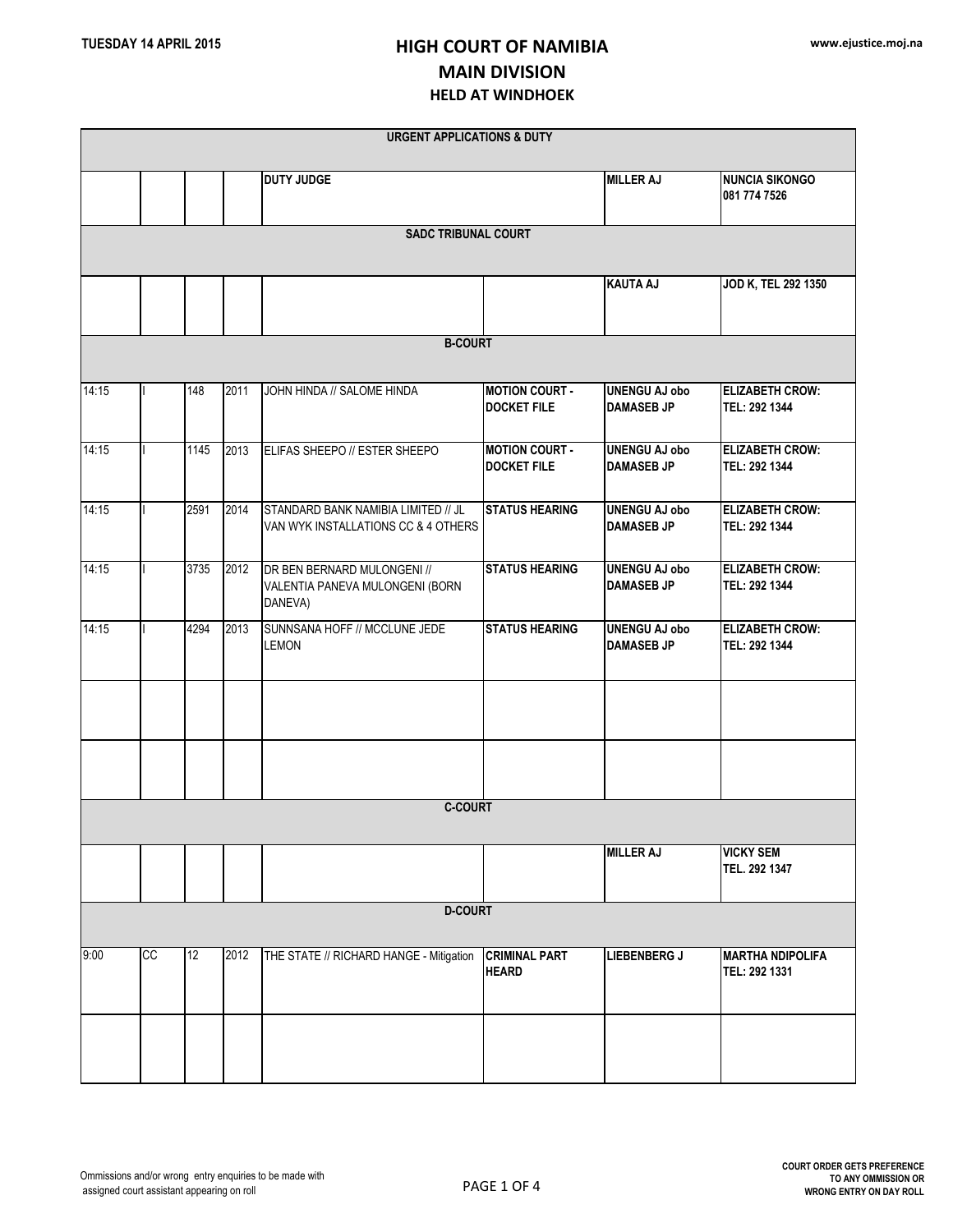|                            |                |      |      | <b>URGENT APPLICATIONS &amp; DUTY</b>                                      |                                             |                                           |                                          |  |  |  |
|----------------------------|----------------|------|------|----------------------------------------------------------------------------|---------------------------------------------|-------------------------------------------|------------------------------------------|--|--|--|
|                            |                |      |      | <b>DUTY JUDGE</b>                                                          |                                             | <b>MILLER AJ</b>                          | <b>NUNCIA SIKONGO</b><br>081 774 7526    |  |  |  |
| <b>SADC TRIBUNAL COURT</b> |                |      |      |                                                                            |                                             |                                           |                                          |  |  |  |
|                            |                |      |      |                                                                            |                                             | <b>KAUTA AJ</b>                           | JOD K, TEL 292 1350                      |  |  |  |
|                            | <b>B-COURT</b> |      |      |                                                                            |                                             |                                           |                                          |  |  |  |
| 14:15                      |                | 148  | 2011 | JOHN HINDA // SALOME HINDA                                                 | <b>MOTION COURT -</b><br><b>DOCKET FILE</b> | <b>UNENGU AJ obo</b><br><b>DAMASEB JP</b> | <b>ELIZABETH CROW:</b><br>TEL: 292 1344  |  |  |  |
| 14:15                      |                | 1145 | 2013 | ELIFAS SHEEPO // ESTER SHEEPO                                              | <b>MOTION COURT -</b><br><b>DOCKET FILE</b> | <b>UNENGU AJ obo</b><br><b>DAMASEB JP</b> | <b>ELIZABETH CROW:</b><br>TEL: 292 1344  |  |  |  |
| 14:15                      |                | 2591 | 2014 | STANDARD BANK NAMIBIA LIMITED // JL<br>VAN WYK INSTALLATIONS CC & 4 OTHERS | <b>STATUS HEARING</b>                       | <b>UNENGU AJ obo</b><br><b>DAMASEB JP</b> | <b>ELIZABETH CROW:</b><br>TEL: 292 1344  |  |  |  |
| 14:15                      |                | 3735 | 2012 | DR BEN BERNARD MULONGENI //<br>VALENTIA PANEVA MULONGENI (BORN<br>DANEVA)  | <b>STATUS HEARING</b>                       | <b>UNENGU AJ obo</b><br><b>DAMASEB JP</b> | <b>ELIZABETH CROW:</b><br>TEL: 292 1344  |  |  |  |
| 14:15                      |                | 4294 | 2013 | SUNNSANA HOFF // MCCLUNE JEDE<br><b>LEMON</b>                              | <b>STATUS HEARING</b>                       | <b>UNENGU AJ obo</b><br><b>DAMASEB JP</b> | <b>ELIZABETH CROW:</b><br>TEL: 292 1344  |  |  |  |
|                            |                |      |      |                                                                            |                                             |                                           |                                          |  |  |  |
|                            |                |      |      |                                                                            |                                             |                                           |                                          |  |  |  |
| <b>C-COURT</b>             |                |      |      |                                                                            |                                             |                                           |                                          |  |  |  |
|                            |                |      |      |                                                                            |                                             | <b>MILLER AJ</b>                          | <b>VICKY SEM</b><br>TEL. 292 1347        |  |  |  |
| <b>D-COURT</b>             |                |      |      |                                                                            |                                             |                                           |                                          |  |  |  |
| 9:00                       | cc             | 12   | 2012 | THE STATE // RICHARD HANGE - Mitigation                                    | <b>CRIMINAL PART</b><br><b>HEARD</b>        | <b>LIEBENBERG J</b>                       | <b>MARTHA NDIPOLIFA</b><br>TEL: 292 1331 |  |  |  |
|                            |                |      |      |                                                                            |                                             |                                           |                                          |  |  |  |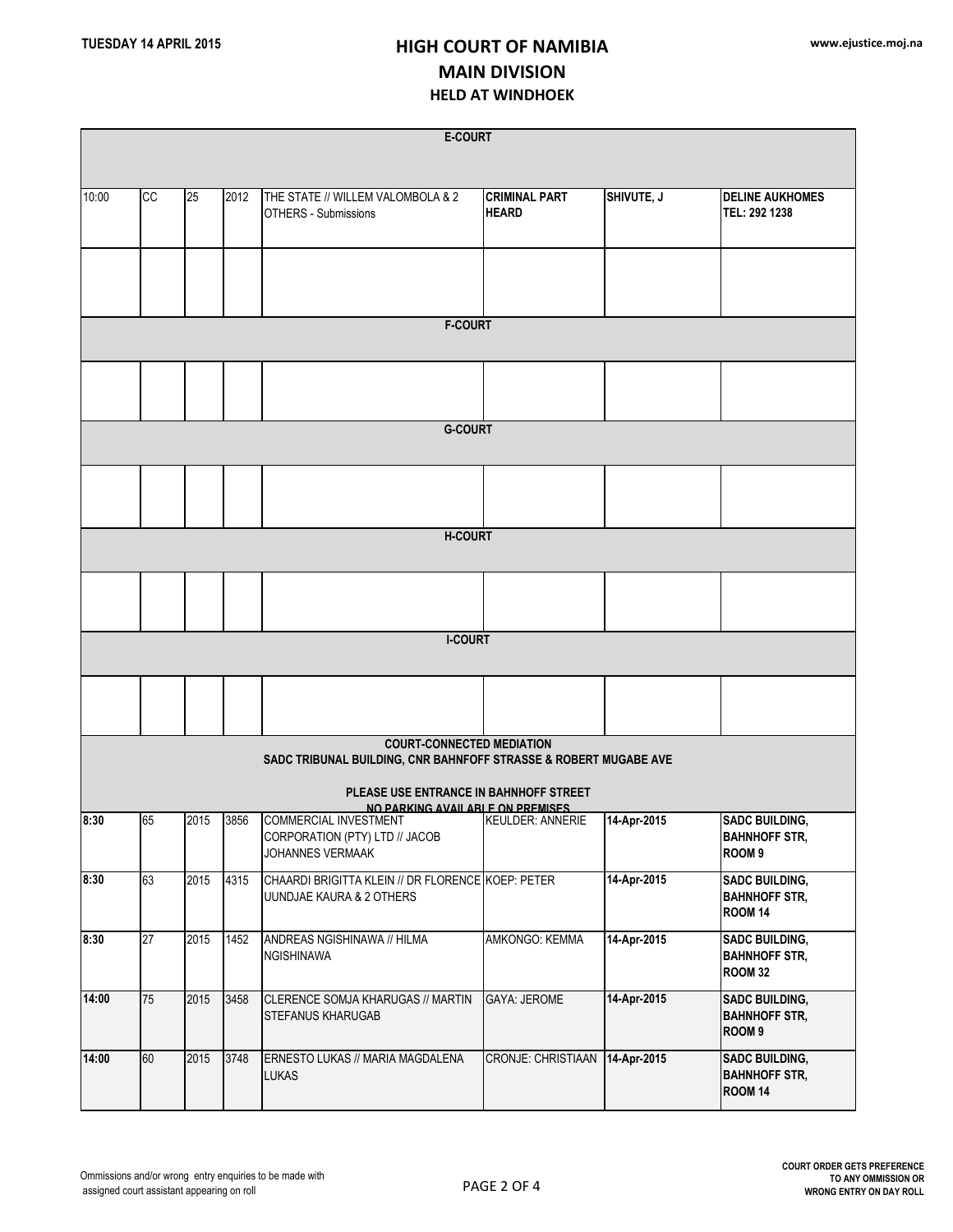| <b>E-COURT</b>                                                                                       |    |      |      |                                                                               |                                      |             |                                                                    |  |  |  |
|------------------------------------------------------------------------------------------------------|----|------|------|-------------------------------------------------------------------------------|--------------------------------------|-------------|--------------------------------------------------------------------|--|--|--|
|                                                                                                      |    |      |      |                                                                               |                                      |             |                                                                    |  |  |  |
| 10:00                                                                                                | cc | 25   | 2012 | THE STATE // WILLEM VALOMBOLA & 2<br>OTHERS - Submissions                     | <b>CRIMINAL PART</b><br><b>HEARD</b> | SHIVUTE, J  | <b>DELINE AUKHOMES</b><br>TEL: 292 1238                            |  |  |  |
|                                                                                                      |    |      |      |                                                                               |                                      |             |                                                                    |  |  |  |
| <b>F-COURT</b>                                                                                       |    |      |      |                                                                               |                                      |             |                                                                    |  |  |  |
|                                                                                                      |    |      |      |                                                                               |                                      |             |                                                                    |  |  |  |
| <b>G-COURT</b>                                                                                       |    |      |      |                                                                               |                                      |             |                                                                    |  |  |  |
|                                                                                                      |    |      |      |                                                                               |                                      |             |                                                                    |  |  |  |
|                                                                                                      |    |      |      | <b>H-COURT</b>                                                                |                                      |             |                                                                    |  |  |  |
|                                                                                                      |    |      |      |                                                                               |                                      |             |                                                                    |  |  |  |
|                                                                                                      |    |      |      | <b>I-COURT</b>                                                                |                                      |             |                                                                    |  |  |  |
|                                                                                                      |    |      |      |                                                                               |                                      |             |                                                                    |  |  |  |
| <b>COURT-CONNECTED MEDIATION</b><br>SADC TRIBUNAL BUILDING, CNR BAHNFOFF STRASSE & ROBERT MUGABE AVE |    |      |      |                                                                               |                                      |             |                                                                    |  |  |  |
| PLEASE USE ENTRANCE IN BAHNHOFF STREET<br>NO PARKING AVAILARLE ON PREMISES                           |    |      |      |                                                                               |                                      |             |                                                                    |  |  |  |
| 8:30                                                                                                 | 65 | 2015 | 3856 | COMMERCIAL INVESTMENT<br>CORPORATION (PTY) LTD // JACOB<br>JOHANNES VERMAAK   | <b>KEULDER: ANNERIE</b>              | 14-Apr-2015 | <b>SADC BUILDING,</b><br><b>BAHNHOFF STR,</b><br>ROOM <sub>9</sub> |  |  |  |
| 8:30                                                                                                 | 63 | 2015 | 4315 | CHAARDI BRIGITTA KLEIN // DR FLORENCE KOEP: PETER<br>UUNDJAE KAURA & 2 OTHERS |                                      | 14-Apr-2015 | <b>SADC BUILDING,</b><br><b>BAHNHOFF STR,</b><br><b>ROOM 14</b>    |  |  |  |
| 8:30                                                                                                 | 27 | 2015 | 1452 | ANDREAS NGISHINAWA // HILMA<br>NGISHINAWA                                     | AMKONGO: KEMMA                       | 14-Apr-2015 | <b>SADC BUILDING,</b><br><b>BAHNHOFF STR,</b><br><b>ROOM 32</b>    |  |  |  |
| 14:00                                                                                                | 75 | 2015 | 3458 | CLERENCE SOMJA KHARUGAS // MARTIN<br>STEFANUS KHARUGAB                        | <b>GAYA: JEROME</b>                  | 14-Apr-2015 | <b>SADC BUILDING,</b><br><b>BAHNHOFF STR,</b><br>ROOM <sub>9</sub> |  |  |  |
| 14:00                                                                                                | 60 | 2015 | 3748 | ERNESTO LUKAS // MARIA MAGDALENA<br><b>LUKAS</b>                              | <b>CRONJE: CHRISTIAAN</b>            | 14-Apr-2015 | <b>SADC BUILDING,</b><br><b>BAHNHOFF STR,</b><br><b>ROOM 14</b>    |  |  |  |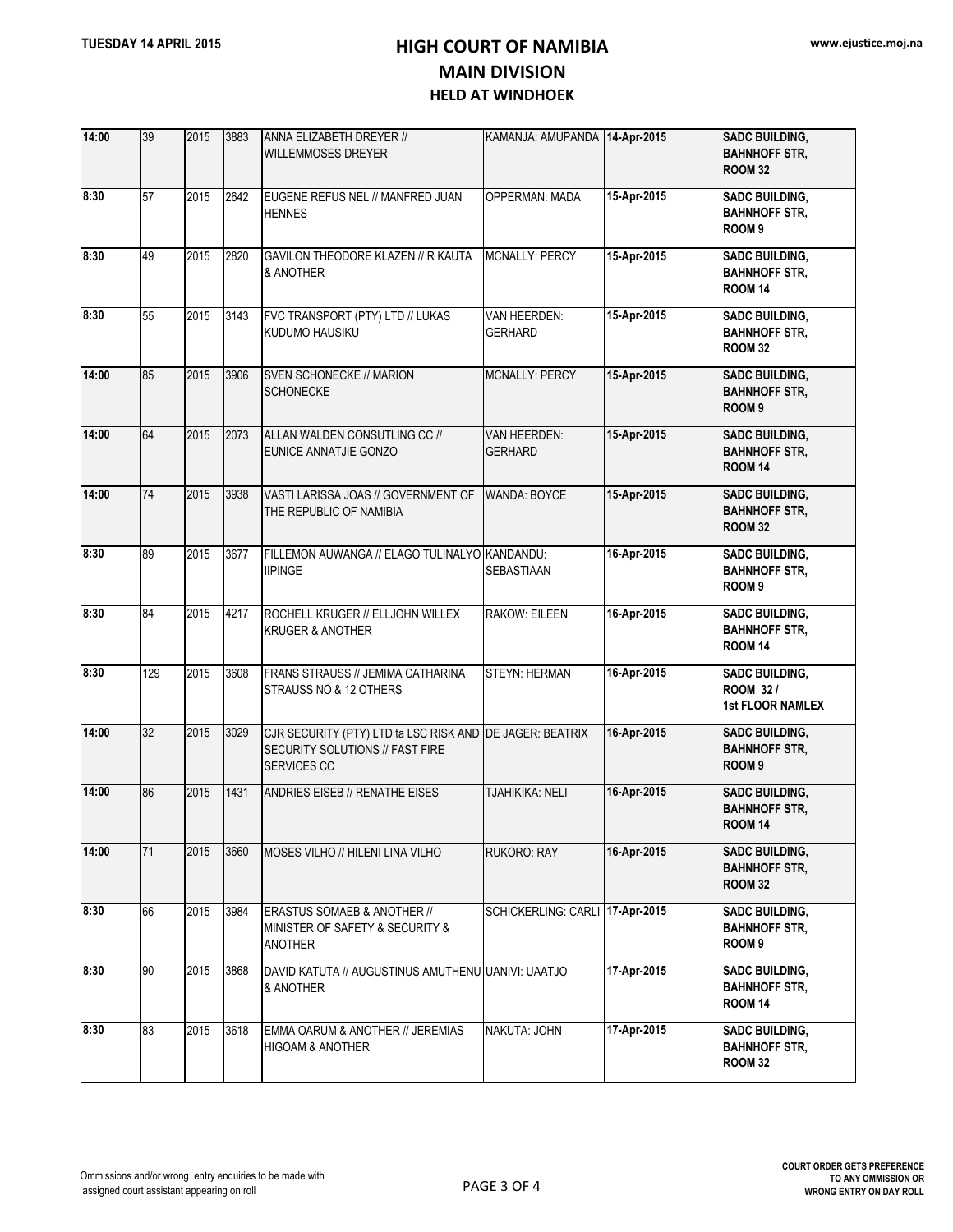| 14:00 | 39  | 2015 | 3883 | ANNA ELIZABETH DREYER //<br><b>WILLEMMOSES DREYER</b>                                                             | KAMANJA: AMUPANDA 14-Apr-2015   |             | <b>SADC BUILDING,</b><br><b>BAHNHOFF STR,</b><br><b>ROOM 32</b>     |
|-------|-----|------|------|-------------------------------------------------------------------------------------------------------------------|---------------------------------|-------------|---------------------------------------------------------------------|
| 8:30  | 57  | 2015 | 2642 | EUGENE REFUS NEL // MANFRED JUAN<br><b>HENNES</b>                                                                 | OPPERMAN: MADA                  | 15-Apr-2015 | <b>SADC BUILDING,</b><br><b>BAHNHOFF STR,</b><br>ROOM <sub>9</sub>  |
| 8:30  | 49  | 2015 | 2820 | GAVILON THEODORE KLAZEN // R KAUTA<br>& ANOTHER                                                                   | <b>MCNALLY: PERCY</b>           | 15-Apr-2015 | <b>SADC BUILDING,</b><br><b>BAHNHOFF STR,</b><br>ROOM 14            |
| 8:30  | 55  | 2015 | 3143 | FVC TRANSPORT (PTY) LTD // LUKAS<br><b>KUDUMO HAUSIKU</b>                                                         | VAN HEERDEN:<br><b>GERHARD</b>  | 15-Apr-2015 | <b>SADC BUILDING,</b><br><b>BAHNHOFF STR.</b><br><b>ROOM 32</b>     |
| 14:00 | 85  | 2015 | 3906 | SVEN SCHONECKE // MARION<br><b>SCHONECKE</b>                                                                      | MCNALLY: PERCY                  | 15-Apr-2015 | <b>SADC BUILDING,</b><br><b>BAHNHOFF STR,</b><br>ROOM <sub>9</sub>  |
| 14:00 | 64  | 2015 | 2073 | ALLAN WALDEN CONSUTLING CC //<br><b>EUNICE ANNATJIE GONZO</b>                                                     | VAN HEERDEN:<br><b>GERHARD</b>  | 15-Apr-2015 | <b>SADC BUILDING,</b><br><b>BAHNHOFF STR,</b><br>ROOM 14            |
| 14:00 | 74  | 2015 | 3938 | VASTI LARISSA JOAS // GOVERNMENT OF<br>THE REPUBLIC OF NAMIBIA                                                    | <b>WANDA: BOYCE</b>             | 15-Apr-2015 | <b>SADC BUILDING,</b><br><b>BAHNHOFF STR,</b><br><b>ROOM 32</b>     |
| 8:30  | 89  | 2015 | 3677 | FILLEMON AUWANGA // ELAGO TULINALYO KANDANDU:<br><b>IIPINGE</b>                                                   | SEBASTIAAN                      | 16-Apr-2015 | <b>SADC BUILDING,</b><br><b>BAHNHOFF STR.</b><br>ROOM <sub>9</sub>  |
| 8:30  | 84  | 2015 | 4217 | ROCHELL KRUGER // ELLJOHN WILLEX<br><b>KRUGER &amp; ANOTHER</b>                                                   | <b>RAKOW: EILEEN</b>            | 16-Apr-2015 | <b>SADC BUILDING,</b><br><b>BAHNHOFF STR,</b><br><b>ROOM 14</b>     |
| 8:30  | 129 | 2015 | 3608 | FRANS STRAUSS // JEMIMA CATHARINA<br>STRAUSS NO & 12 OTHERS                                                       | <b>STEYN: HERMAN</b>            | 16-Apr-2015 | <b>SADC BUILDING,</b><br><b>ROOM 32/</b><br><b>1st FLOOR NAMLEX</b> |
| 14:00 | 32  | 2015 | 3029 | CJR SECURITY (PTY) LTD ta LSC RISK AND DE JAGER: BEATRIX<br>SECURITY SOLUTIONS // FAST FIRE<br><b>SERVICES CC</b> |                                 | 16-Apr-2015 | <b>SADC BUILDING,</b><br><b>BAHNHOFF STR,</b><br>ROOM <sub>9</sub>  |
| 14:00 | 86  | 2015 | 1431 | <b>ANDRIES EISEB // RENATHE EISES</b>                                                                             | TJAHIKIKA: NELI                 | 16-Apr-2015 | <b>SADC BUILDING,</b><br><b>BAHNHOFF STR.</b><br><b>ROOM 14</b>     |
| 14:00 | 71  | 2015 | 3660 | MOSES VILHO // HILENI LINA VILHO                                                                                  | <b>RUKORO: RAY</b>              | 16-Apr-2015 | <b>SADC BUILDING,</b><br><b>BAHNHOFF STR,</b><br><b>ROOM 32</b>     |
| 8:30  | 66  | 2015 | 3984 | ERASTUS SOMAEB & ANOTHER //<br>MINISTER OF SAFETY & SECURITY &<br><b>ANOTHER</b>                                  | SCHICKERLING: CARLI 17-Apr-2015 |             | <b>SADC BUILDING,</b><br><b>BAHNHOFF STR,</b><br>ROOM <sub>9</sub>  |
| 8:30  | 90  | 2015 | 3868 | DAVID KATUTA // AUGUSTINUS AMUTHENU UANIVI: UAATJO<br>& ANOTHER                                                   |                                 | 17-Apr-2015 | <b>SADC BUILDING,</b><br><b>BAHNHOFF STR,</b><br><b>ROOM 14</b>     |
| 8:30  | 83  | 2015 | 3618 | EMMA OARUM & ANOTHER // JEREMIAS<br><b>HIGOAM &amp; ANOTHER</b>                                                   | NAKUTA: JOHN                    | 17-Apr-2015 | <b>SADC BUILDING,</b><br><b>BAHNHOFF STR,</b><br><b>ROOM 32</b>     |